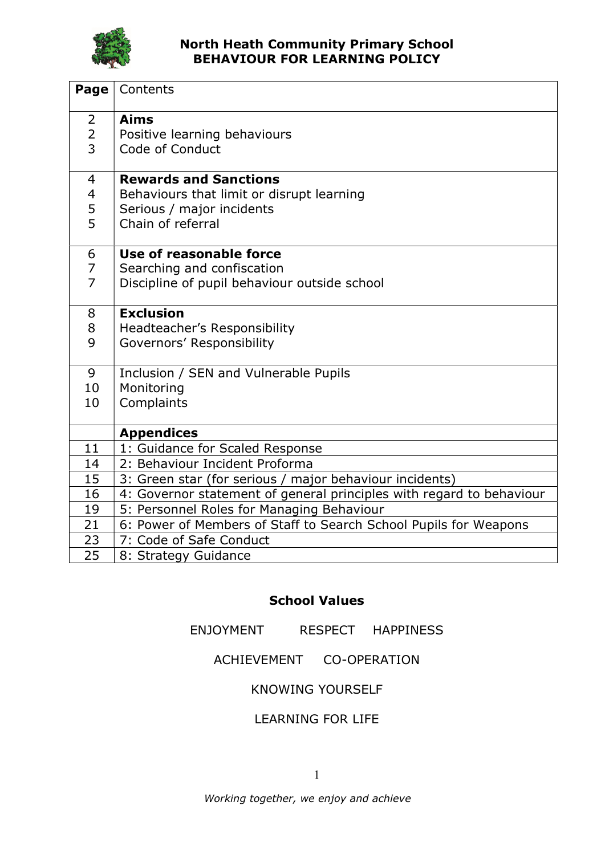

| Page                                  | Contents                                                                                                                    |
|---------------------------------------|-----------------------------------------------------------------------------------------------------------------------------|
| 2<br>$\overline{2}$<br>$\overline{3}$ | <b>Aims</b><br>Positive learning behaviours<br>Code of Conduct                                                              |
| $\overline{4}$<br>4<br>5<br>5         | <b>Rewards and Sanctions</b><br>Behaviours that limit or disrupt learning<br>Serious / major incidents<br>Chain of referral |
| 6<br>$\overline{7}$<br>$\overline{7}$ | Use of reasonable force<br>Searching and confiscation<br>Discipline of pupil behaviour outside school                       |
| 8<br>8<br>9                           | <b>Exclusion</b><br>Headteacher's Responsibility<br>Governors' Responsibility                                               |
| 9<br>10<br>10                         | Inclusion / SEN and Vulnerable Pupils<br>Monitoring<br>Complaints                                                           |
|                                       | <b>Appendices</b>                                                                                                           |
| 11                                    | 1: Guidance for Scaled Response                                                                                             |
| 14                                    | 2: Behaviour Incident Proforma                                                                                              |
| 15                                    | 3: Green star (for serious / major behaviour incidents)                                                                     |
| 16                                    | 4: Governor statement of general principles with regard to behaviour                                                        |
| 19                                    | 5: Personnel Roles for Managing Behaviour                                                                                   |
| 21                                    | 6: Power of Members of Staff to Search School Pupils for Weapons                                                            |
| 23                                    | 7: Code of Safe Conduct                                                                                                     |
| 25                                    | 8: Strategy Guidance                                                                                                        |

#### School Values

ENJOYMENT RESPECT HAPPINESS

## ACHIEVEMENT CO-OPERATION

#### KNOWING YOURSELF

#### LEARNING FOR LIFE

Working together, we enjoy and achieve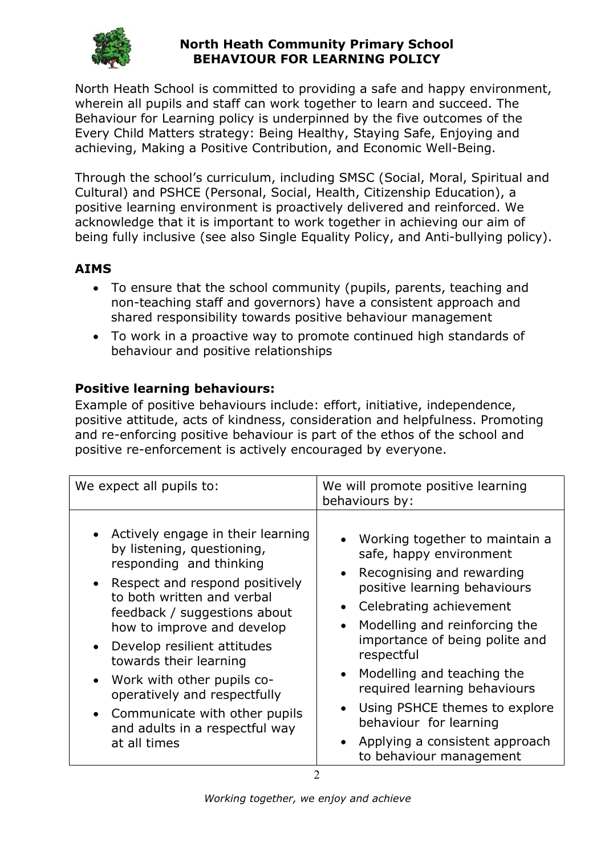

North Heath School is committed to providing a safe and happy environment, wherein all pupils and staff can work together to learn and succeed. The Behaviour for Learning policy is underpinned by the five outcomes of the Every Child Matters strategy: Being Healthy, Staying Safe, Enjoying and achieving, Making a Positive Contribution, and Economic Well-Being.

Through the school's curriculum, including SMSC (Social, Moral, Spiritual and Cultural) and PSHCE (Personal, Social, Health, Citizenship Education), a positive learning environment is proactively delivered and reinforced. We acknowledge that it is important to work together in achieving our aim of being fully inclusive (see also Single Equality Policy, and Anti-bullying policy).

# AIMS

- To ensure that the school community (pupils, parents, teaching and non-teaching staff and governors) have a consistent approach and shared responsibility towards positive behaviour management
- To work in a proactive way to promote continued high standards of behaviour and positive relationships

## Positive learning behaviours:

Example of positive behaviours include: effort, initiative, independence, positive attitude, acts of kindness, consideration and helpfulness. Promoting and re-enforcing positive behaviour is part of the ethos of the school and positive re-enforcement is actively encouraged by everyone.

| We expect all pupils to:                                                                                                                                                                                                                                                                                                                                                                                                                          | We will promote positive learning<br>behaviours by:                                                                                                                                                                                                                                                                                                                                                                                                                                |  |
|---------------------------------------------------------------------------------------------------------------------------------------------------------------------------------------------------------------------------------------------------------------------------------------------------------------------------------------------------------------------------------------------------------------------------------------------------|------------------------------------------------------------------------------------------------------------------------------------------------------------------------------------------------------------------------------------------------------------------------------------------------------------------------------------------------------------------------------------------------------------------------------------------------------------------------------------|--|
| • Actively engage in their learning<br>by listening, questioning,<br>responding and thinking<br>Respect and respond positively<br>to both written and verbal<br>feedback / suggestions about<br>how to improve and develop<br>Develop resilient attitudes<br>towards their learning<br>Work with other pupils co-<br>$\bullet$<br>operatively and respectfully<br>Communicate with other pupils<br>and adults in a respectful way<br>at all times | • Working together to maintain a<br>safe, happy environment<br>Recognising and rewarding<br>$\bullet$<br>positive learning behaviours<br>• Celebrating achievement<br>Modelling and reinforcing the<br>$\bullet$<br>importance of being polite and<br>respectful<br>Modelling and teaching the<br>$\bullet$<br>required learning behaviours<br>Using PSHCE themes to explore<br>$\bullet$<br>behaviour for learning<br>• Applying a consistent approach<br>to behaviour management |  |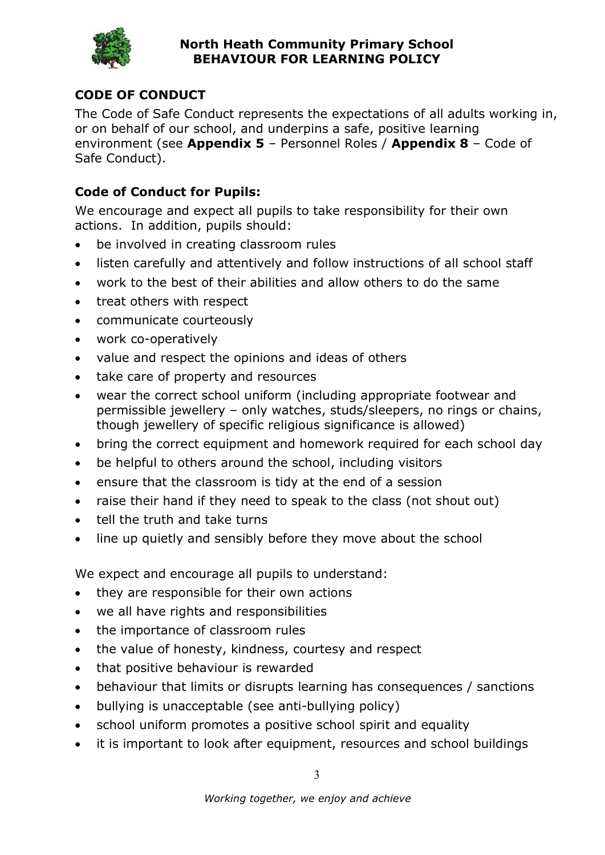

# CODE OF CONDUCT

The Code of Safe Conduct represents the expectations of all adults working in, or on behalf of our school, and underpins a safe, positive learning environment (see Appendix 5 - Personnel Roles / Appendix 8 - Code of Safe Conduct).

## Code of Conduct for Pupils:

We encourage and expect all pupils to take responsibility for their own actions. In addition, pupils should:

- be involved in creating classroom rules
- listen carefully and attentively and follow instructions of all school staff
- work to the best of their abilities and allow others to do the same
- treat others with respect
- communicate courteously
- work co-operatively
- value and respect the opinions and ideas of others
- take care of property and resources
- wear the correct school uniform (including appropriate footwear and permissible jewellery – only watches, studs/sleepers, no rings or chains, though jewellery of specific religious significance is allowed)
- bring the correct equipment and homework required for each school day
- be helpful to others around the school, including visitors
- ensure that the classroom is tidy at the end of a session
- raise their hand if they need to speak to the class (not shout out)
- tell the truth and take turns
- line up quietly and sensibly before they move about the school

We expect and encourage all pupils to understand:

- they are responsible for their own actions
- we all have rights and responsibilities
- the importance of classroom rules
- the value of honesty, kindness, courtesy and respect
- that positive behaviour is rewarded
- behaviour that limits or disrupts learning has consequences / sanctions
- bullying is unacceptable (see anti-bullying policy)
- school uniform promotes a positive school spirit and equality
- it is important to look after equipment, resources and school buildings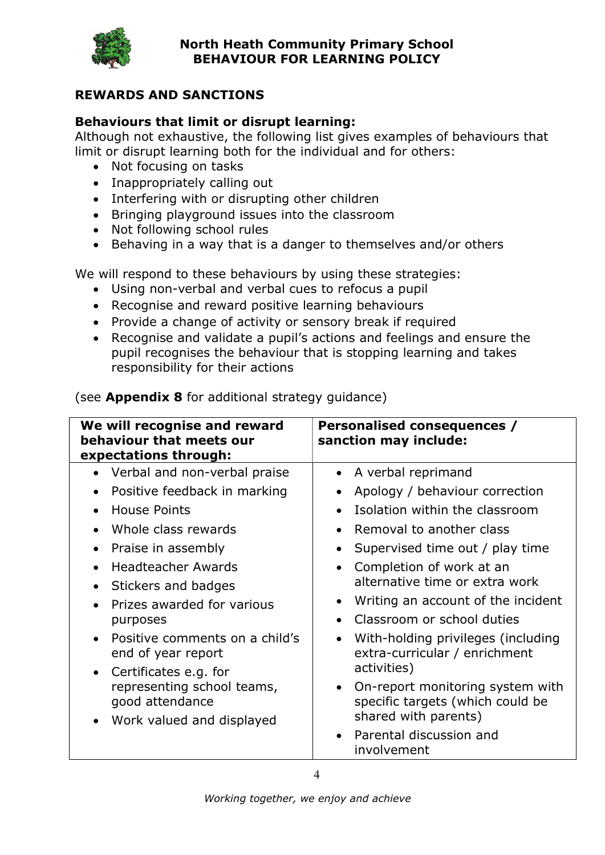

## REWARDS AND SANCTIONS

## Behaviours that limit or disrupt learning:

Although not exhaustive, the following list gives examples of behaviours that limit or disrupt learning both for the individual and for others:

- Not focusing on tasks
- Inappropriately calling out
- Interfering with or disrupting other children
- Bringing playground issues into the classroom
- Not following school rules
- Behaving in a way that is a danger to themselves and/or others

We will respond to these behaviours by using these strategies:

- Using non-verbal and verbal cues to refocus a pupil
- Recognise and reward positive learning behaviours
- Provide a change of activity or sensory break if required
- Recognise and validate a pupil's actions and feelings and ensure the pupil recognises the behaviour that is stopping learning and takes responsibility for their actions

| We will recognise and reward<br>behaviour that meets our<br>expectations through:                                                                                                                                                                                                                                                                                                                                                                                                              | Personalised consequences /<br>sanction may include:                                                                                                                                                                                                                                                                                                                                                                                                                                                                                                                                                                               |
|------------------------------------------------------------------------------------------------------------------------------------------------------------------------------------------------------------------------------------------------------------------------------------------------------------------------------------------------------------------------------------------------------------------------------------------------------------------------------------------------|------------------------------------------------------------------------------------------------------------------------------------------------------------------------------------------------------------------------------------------------------------------------------------------------------------------------------------------------------------------------------------------------------------------------------------------------------------------------------------------------------------------------------------------------------------------------------------------------------------------------------------|
| Verbal and non-verbal praise<br>$\bullet$<br>Positive feedback in marking<br>$\bullet$<br>House Points<br>Whole class rewards<br>$\bullet$<br>Praise in assembly<br>$\bullet$<br><b>Headteacher Awards</b><br>Stickers and badges<br>$\bullet$<br>Prizes awarded for various<br>purposes<br>Positive comments on a child's<br>$\bullet$<br>end of year report<br>Certificates e.g. for<br>$\bullet$<br>representing school teams,<br>good attendance<br>Work valued and displayed<br>$\bullet$ | A verbal reprimand<br>$\bullet$<br>Apology / behaviour correction<br>$\bullet$<br>Isolation within the classroom<br>$\bullet$<br>Removal to another class<br>$\bullet$<br>Supervised time out / play time<br>٠<br>Completion of work at an<br>$\bullet$<br>alternative time or extra work<br>Writing an account of the incident<br>$\bullet$<br>Classroom or school duties<br>$\bullet$<br>With-holding privileges (including<br>$\bullet$<br>extra-curricular / enrichment<br>activities)<br>On-report monitoring system with<br>$\bullet$<br>specific targets (which could be<br>shared with parents)<br>Parental discussion and |
|                                                                                                                                                                                                                                                                                                                                                                                                                                                                                                | involvement                                                                                                                                                                                                                                                                                                                                                                                                                                                                                                                                                                                                                        |

(see **Appendix 8** for additional strategy guidance)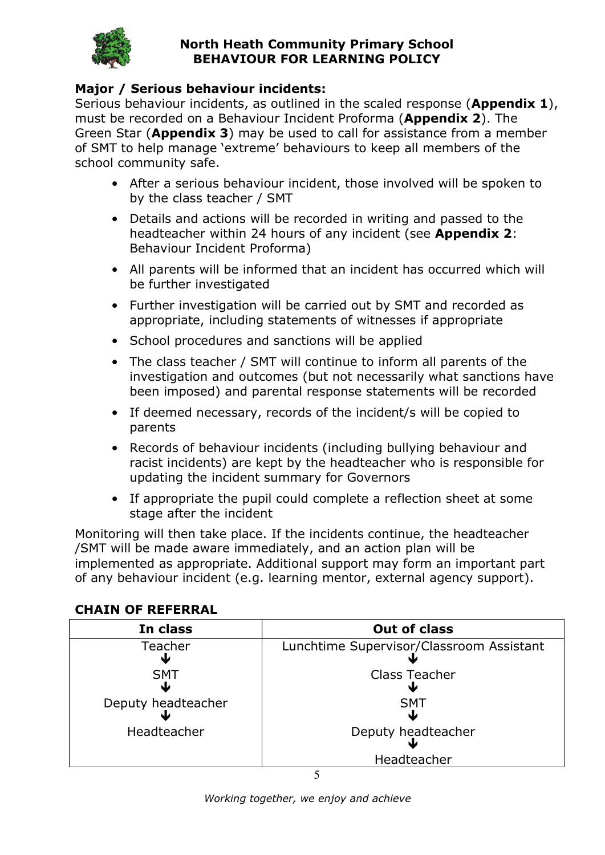

## Major / Serious behaviour incidents:

Serious behaviour incidents, as outlined in the scaled response (Appendix 1), must be recorded on a Behaviour Incident Proforma (**Appendix 2**). The Green Star (**Appendix 3**) may be used to call for assistance from a member of SMT to help manage 'extreme' behaviours to keep all members of the school community safe.

- After a serious behaviour incident, those involved will be spoken to by the class teacher / SMT
- Details and actions will be recorded in writing and passed to the headteacher within 24 hours of any incident (see Appendix 2: Behaviour Incident Proforma)
- All parents will be informed that an incident has occurred which will be further investigated
- Further investigation will be carried out by SMT and recorded as appropriate, including statements of witnesses if appropriate
- School procedures and sanctions will be applied
- The class teacher / SMT will continue to inform all parents of the investigation and outcomes (but not necessarily what sanctions have been imposed) and parental response statements will be recorded
- If deemed necessary, records of the incident/s will be copied to parents
- Records of behaviour incidents (including bullying behaviour and racist incidents) are kept by the headteacher who is responsible for updating the incident summary for Governors
- If appropriate the pupil could complete a reflection sheet at some stage after the incident

Monitoring will then take place. If the incidents continue, the headteacher /SMT will be made aware immediately, and an action plan will be implemented as appropriate. Additional support may form an important part of any behaviour incident (e.g. learning mentor, external agency support).

#### CHAIN OF REFERRAL

| In class           | <b>Out of class</b>                      |
|--------------------|------------------------------------------|
| Teacher            | Lunchtime Supervisor/Classroom Assistant |
| <b>SMT</b>         | <b>Class Teacher</b>                     |
|                    |                                          |
| Deputy headteacher | <b>SMT</b>                               |
|                    |                                          |
| Headteacher        | Deputy headteacher                       |
|                    |                                          |
|                    | Headteacher                              |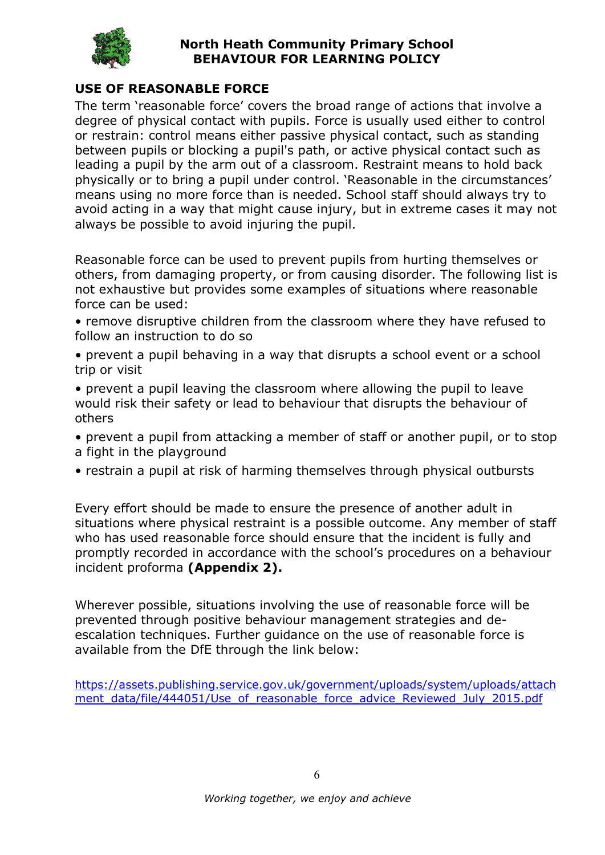

## USE OF REASONABLE FORCE

The term 'reasonable force' covers the broad range of actions that involve a degree of physical contact with pupils. Force is usually used either to control or restrain: control means either passive physical contact, such as standing between pupils or blocking a pupil's path, or active physical contact such as leading a pupil by the arm out of a classroom. Restraint means to hold back physically or to bring a pupil under control. 'Reasonable in the circumstances' means using no more force than is needed. School staff should always try to avoid acting in a way that might cause injury, but in extreme cases it may not always be possible to avoid injuring the pupil.

Reasonable force can be used to prevent pupils from hurting themselves or others, from damaging property, or from causing disorder. The following list is not exhaustive but provides some examples of situations where reasonable force can be used:

• remove disruptive children from the classroom where they have refused to follow an instruction to do so

• prevent a pupil behaving in a way that disrupts a school event or a school trip or visit

• prevent a pupil leaving the classroom where allowing the pupil to leave would risk their safety or lead to behaviour that disrupts the behaviour of others

• prevent a pupil from attacking a member of staff or another pupil, or to stop a fight in the playground

• restrain a pupil at risk of harming themselves through physical outbursts

Every effort should be made to ensure the presence of another adult in situations where physical restraint is a possible outcome. Any member of staff who has used reasonable force should ensure that the incident is fully and promptly recorded in accordance with the school's procedures on a behaviour incident proforma (Appendix 2).

Wherever possible, situations involving the use of reasonable force will be prevented through positive behaviour management strategies and deescalation techniques. Further guidance on the use of reasonable force is available from the DfE through the link below:

https://assets.publishing.service.gov.uk/government/uploads/system/uploads/attach ment\_data/file/444051/Use\_of\_reasonable\_force\_advice\_Reviewed\_July\_2015.pdf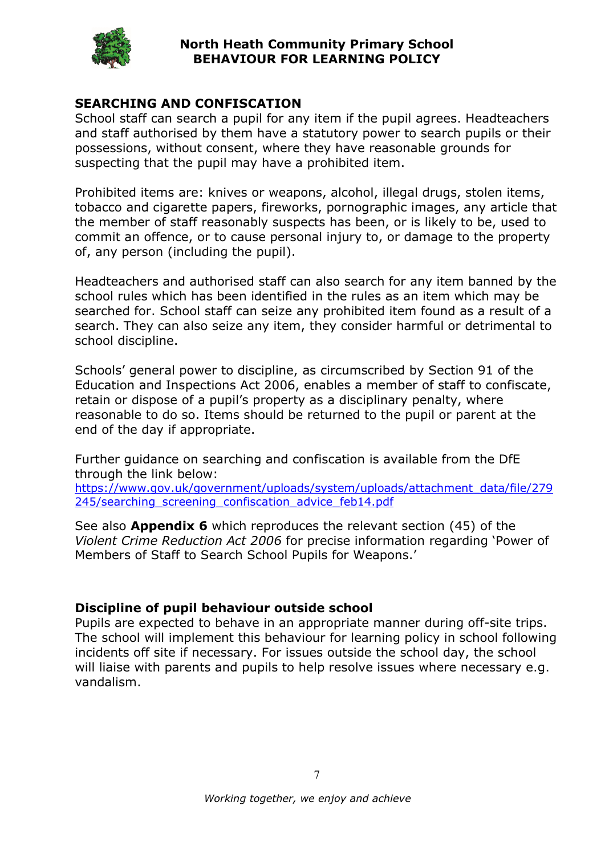

## SEARCHING AND CONFISCATION

School staff can search a pupil for any item if the pupil agrees. Headteachers and staff authorised by them have a statutory power to search pupils or their possessions, without consent, where they have reasonable grounds for suspecting that the pupil may have a prohibited item.

Prohibited items are: knives or weapons, alcohol, illegal drugs, stolen items, tobacco and cigarette papers, fireworks, pornographic images, any article that the member of staff reasonably suspects has been, or is likely to be, used to commit an offence, or to cause personal injury to, or damage to the property of, any person (including the pupil).

Headteachers and authorised staff can also search for any item banned by the school rules which has been identified in the rules as an item which may be searched for. School staff can seize any prohibited item found as a result of a search. They can also seize any item, they consider harmful or detrimental to school discipline.

Schools' general power to discipline, as circumscribed by Section 91 of the Education and Inspections Act 2006, enables a member of staff to confiscate, retain or dispose of a pupil's property as a disciplinary penalty, where reasonable to do so. Items should be returned to the pupil or parent at the end of the day if appropriate.

Further guidance on searching and confiscation is available from the DfE through the link below:

https://www.gov.uk/government/uploads/system/uploads/attachment\_data/file/279 245/searching\_screening\_confiscation\_advice\_feb14.pdf

See also **Appendix 6** which reproduces the relevant section (45) of the Violent Crime Reduction Act 2006 for precise information regarding 'Power of Members of Staff to Search School Pupils for Weapons.'

#### Discipline of pupil behaviour outside school

Pupils are expected to behave in an appropriate manner during off-site trips. The school will implement this behaviour for learning policy in school following incidents off site if necessary. For issues outside the school day, the school will liaise with parents and pupils to help resolve issues where necessary e.g. vandalism.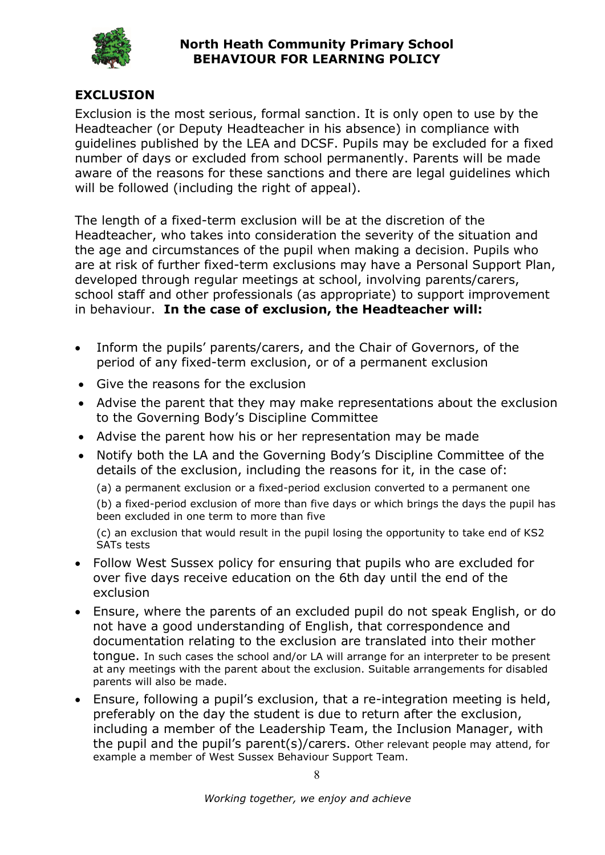

## EXCLUSION

Exclusion is the most serious, formal sanction. It is only open to use by the Headteacher (or Deputy Headteacher in his absence) in compliance with guidelines published by the LEA and DCSF. Pupils may be excluded for a fixed number of days or excluded from school permanently. Parents will be made aware of the reasons for these sanctions and there are legal guidelines which will be followed (including the right of appeal).

The length of a fixed-term exclusion will be at the discretion of the Headteacher, who takes into consideration the severity of the situation and the age and circumstances of the pupil when making a decision. Pupils who are at risk of further fixed-term exclusions may have a Personal Support Plan, developed through regular meetings at school, involving parents/carers, school staff and other professionals (as appropriate) to support improvement in behaviour. In the case of exclusion, the Headteacher will:

- Inform the pupils' parents/carers, and the Chair of Governors, of the period of any fixed-term exclusion, or of a permanent exclusion
- Give the reasons for the exclusion
- Advise the parent that they may make representations about the exclusion to the Governing Body's Discipline Committee
- Advise the parent how his or her representation may be made
- Notify both the LA and the Governing Body's Discipline Committee of the details of the exclusion, including the reasons for it, in the case of:

(a) a permanent exclusion or a fixed-period exclusion converted to a permanent one

(b) a fixed-period exclusion of more than five days or which brings the days the pupil has been excluded in one term to more than five

(c) an exclusion that would result in the pupil losing the opportunity to take end of KS2 SATs tests

- Follow West Sussex policy for ensuring that pupils who are excluded for over five days receive education on the 6th day until the end of the exclusion
- Ensure, where the parents of an excluded pupil do not speak English, or do not have a good understanding of English, that correspondence and documentation relating to the exclusion are translated into their mother tongue. In such cases the school and/or LA will arrange for an interpreter to be present at any meetings with the parent about the exclusion. Suitable arrangements for disabled parents will also be made.
- Ensure, following a pupil's exclusion, that a re-integration meeting is held, preferably on the day the student is due to return after the exclusion, including a member of the Leadership Team, the Inclusion Manager, with the pupil and the pupil's parent(s)/carers. Other relevant people may attend, for example a member of West Sussex Behaviour Support Team.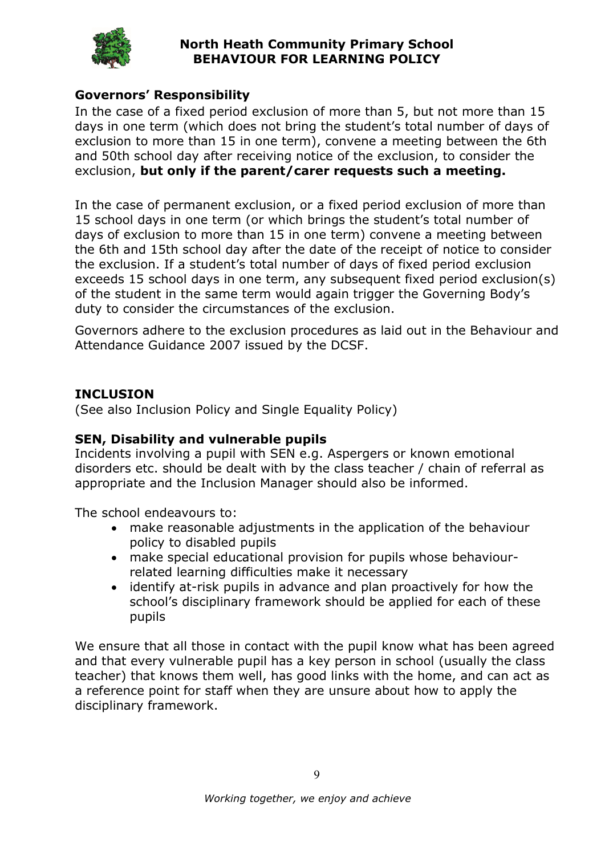

## Governors' Responsibility

In the case of a fixed period exclusion of more than 5, but not more than 15 days in one term (which does not bring the student's total number of days of exclusion to more than 15 in one term), convene a meeting between the 6th and 50th school day after receiving notice of the exclusion, to consider the exclusion, but only if the parent/carer requests such a meeting.

In the case of permanent exclusion, or a fixed period exclusion of more than 15 school days in one term (or which brings the student's total number of days of exclusion to more than 15 in one term) convene a meeting between the 6th and 15th school day after the date of the receipt of notice to consider the exclusion. If a student's total number of days of fixed period exclusion exceeds 15 school days in one term, any subsequent fixed period exclusion(s) of the student in the same term would again trigger the Governing Body's duty to consider the circumstances of the exclusion.

Governors adhere to the exclusion procedures as laid out in the Behaviour and Attendance Guidance 2007 issued by the DCSF.

#### **INCLUSION**

(See also Inclusion Policy and Single Equality Policy)

#### SEN, Disability and vulnerable pupils

Incidents involving a pupil with SEN e.g. Aspergers or known emotional disorders etc. should be dealt with by the class teacher / chain of referral as appropriate and the Inclusion Manager should also be informed.

The school endeavours to:

- make reasonable adjustments in the application of the behaviour policy to disabled pupils
- make special educational provision for pupils whose behaviourrelated learning difficulties make it necessary
- identify at-risk pupils in advance and plan proactively for how the school's disciplinary framework should be applied for each of these pupils

We ensure that all those in contact with the pupil know what has been agreed and that every vulnerable pupil has a key person in school (usually the class teacher) that knows them well, has good links with the home, and can act as a reference point for staff when they are unsure about how to apply the disciplinary framework.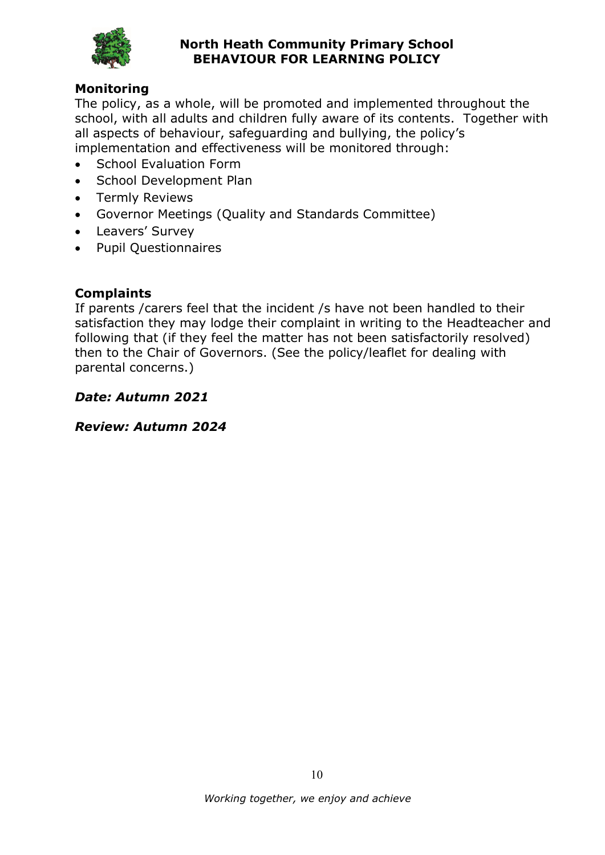

#### **Monitoring**

The policy, as a whole, will be promoted and implemented throughout the school, with all adults and children fully aware of its contents. Together with all aspects of behaviour, safeguarding and bullying, the policy's implementation and effectiveness will be monitored through:

- School Evaluation Form
- School Development Plan
- **•** Termly Reviews
- Governor Meetings (Quality and Standards Committee)
- Leavers' Survey
- Pupil Questionnaires

## **Complaints**

If parents /carers feel that the incident /s have not been handled to their satisfaction they may lodge their complaint in writing to the Headteacher and following that (if they feel the matter has not been satisfactorily resolved) then to the Chair of Governors. (See the policy/leaflet for dealing with parental concerns.)

#### Date: Autumn 2021

#### Review: Autumn 2024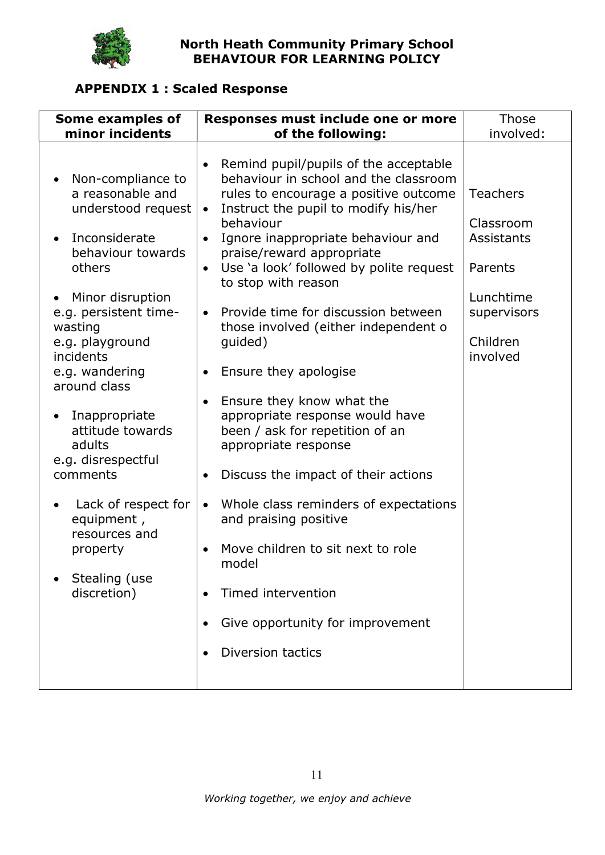

# APPENDIX 1 : Scaled Response

| Some examples of                                                                                                                                                                                                                                                                                                                                                                                                                                   | Responses must include one or more                                                                                                                                                                                                                                                                                                                                                                                                                                                                                                                                                                                                                                                                                                                                                                                                                                            |                                                                                                                               |
|----------------------------------------------------------------------------------------------------------------------------------------------------------------------------------------------------------------------------------------------------------------------------------------------------------------------------------------------------------------------------------------------------------------------------------------------------|-------------------------------------------------------------------------------------------------------------------------------------------------------------------------------------------------------------------------------------------------------------------------------------------------------------------------------------------------------------------------------------------------------------------------------------------------------------------------------------------------------------------------------------------------------------------------------------------------------------------------------------------------------------------------------------------------------------------------------------------------------------------------------------------------------------------------------------------------------------------------------|-------------------------------------------------------------------------------------------------------------------------------|
| minor incidents                                                                                                                                                                                                                                                                                                                                                                                                                                    | of the following:                                                                                                                                                                                                                                                                                                                                                                                                                                                                                                                                                                                                                                                                                                                                                                                                                                                             |                                                                                                                               |
| Non-compliance to<br>a reasonable and<br>understood request<br>Inconsiderate<br>behaviour towards<br>others<br>Minor disruption<br>$\bullet$<br>e.g. persistent time-<br>wasting<br>e.g. playground<br>incidents<br>e.g. wandering<br>around class<br>Inappropriate<br>$\bullet$<br>attitude towards<br>adults<br>e.g. disrespectful<br>comments<br>Lack of respect for<br>equipment,<br>resources and<br>property<br>Stealing (use<br>discretion) | Remind pupil/pupils of the acceptable<br>behaviour in school and the classroom<br>rules to encourage a positive outcome<br>Instruct the pupil to modify his/her<br>$\bullet$<br>behaviour<br>Ignore inappropriate behaviour and<br>$\bullet$<br>praise/reward appropriate<br>Use 'a look' followed by polite request<br>$\bullet$<br>to stop with reason<br>Provide time for discussion between<br>$\bullet$<br>those involved (either independent o<br>guided)<br>Ensure they apologise<br>Ensure they know what the<br>appropriate response would have<br>been / ask for repetition of an<br>appropriate response<br>Discuss the impact of their actions<br>Whole class reminders of expectations<br>$\bullet$<br>and praising positive<br>Move children to sit next to role<br>model<br>Timed intervention<br>Give opportunity for improvement<br><b>Diversion tactics</b> | involved:<br><b>Teachers</b><br>Classroom<br><b>Assistants</b><br>Parents<br>Lunchtime<br>supervisors<br>Children<br>involved |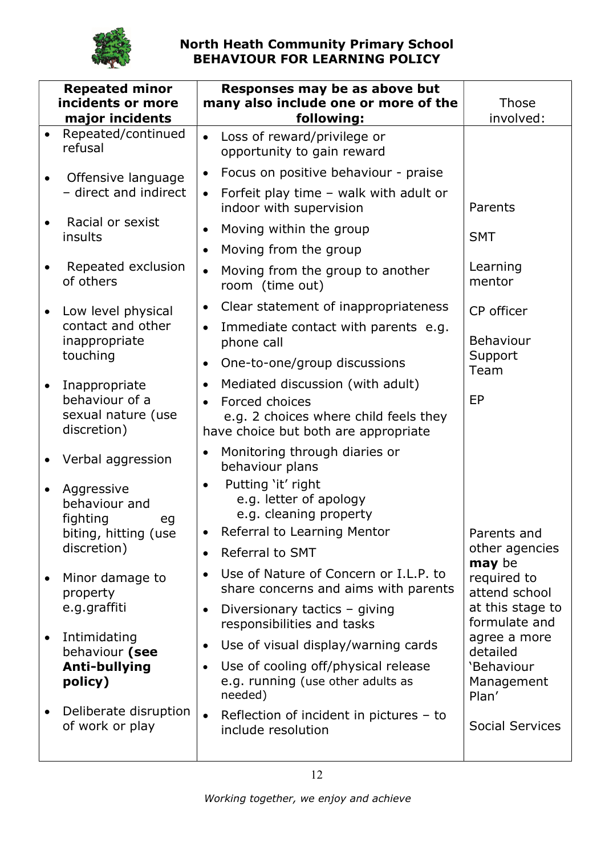

| <b>Repeated minor</b><br>incidents or more<br>major incidents |                                                                       | Responses may be as above but<br>many also include one or more of the<br>following:                                                                                    | Those<br>involved:                                                |
|---------------------------------------------------------------|-----------------------------------------------------------------------|------------------------------------------------------------------------------------------------------------------------------------------------------------------------|-------------------------------------------------------------------|
| $\bullet$                                                     | Repeated/continued<br>refusal                                         | Loss of reward/privilege or<br>$\bullet$<br>opportunity to gain reward                                                                                                 |                                                                   |
|                                                               | Offensive language                                                    | Focus on positive behaviour - praise<br>$\bullet$                                                                                                                      |                                                                   |
|                                                               | - direct and indirect                                                 | Forfeit play time - walk with adult or<br>$\bullet$<br>indoor with supervision                                                                                         | Parents                                                           |
|                                                               | Racial or sexist<br>insults                                           | Moving within the group<br>$\bullet$                                                                                                                                   | <b>SMT</b>                                                        |
|                                                               |                                                                       | Moving from the group<br>$\bullet$                                                                                                                                     |                                                                   |
|                                                               | Repeated exclusion<br>of others                                       | Moving from the group to another<br>$\bullet$<br>room (time out)                                                                                                       | Learning<br>mentor                                                |
| $\bullet$                                                     | Low level physical                                                    | Clear statement of inappropriateness<br>$\bullet$                                                                                                                      | CP officer                                                        |
|                                                               | contact and other<br>inappropriate<br>touching                        | Immediate contact with parents e.g.<br>$\bullet$<br>phone call                                                                                                         | <b>Behaviour</b><br>Support                                       |
|                                                               |                                                                       | One-to-one/group discussions<br>$\bullet$                                                                                                                              | Team                                                              |
|                                                               | Inappropriate<br>behaviour of a<br>sexual nature (use<br>discretion)  | Mediated discussion (with adult)<br>$\bullet$<br>Forced choices<br>e.g. 2 choices where child feels they<br>have choice but both are appropriate                       | EP                                                                |
|                                                               | Verbal aggression                                                     | Monitoring through diaries or<br>behaviour plans                                                                                                                       |                                                                   |
| $\bullet$                                                     | Aggressive<br>behaviour and<br>fighting<br>eg<br>biting, hitting (use | Putting 'it' right<br>$\bullet$<br>e.g. letter of apology<br>e.g. cleaning property<br>Referral to Learning Mentor                                                     | Parents and                                                       |
|                                                               | discretion)                                                           | <b>Referral to SMT</b><br>$\bullet$                                                                                                                                    | other agencies<br>may be                                          |
|                                                               | Minor damage to<br>property<br>e.g.graffiti                           | Use of Nature of Concern or I.L.P. to<br>$\bullet$<br>share concerns and aims with parents<br>Diversionary tactics - giving<br>$\bullet$<br>responsibilities and tasks | required to<br>attend school<br>at this stage to<br>formulate and |
| ٠                                                             | Intimidating<br>behaviour (see<br>Anti-bullying<br>policy)            | Use of visual display/warning cards<br>$\bullet$<br>Use of cooling off/physical release<br>$\bullet$<br>e.g. running (use other adults as<br>needed)                   | agree a more<br>detailed<br>'Behaviour<br>Management<br>Plan'     |
|                                                               | Deliberate disruption<br>of work or play                              | Reflection of incident in pictures - to<br>$\bullet$<br>include resolution                                                                                             | <b>Social Services</b>                                            |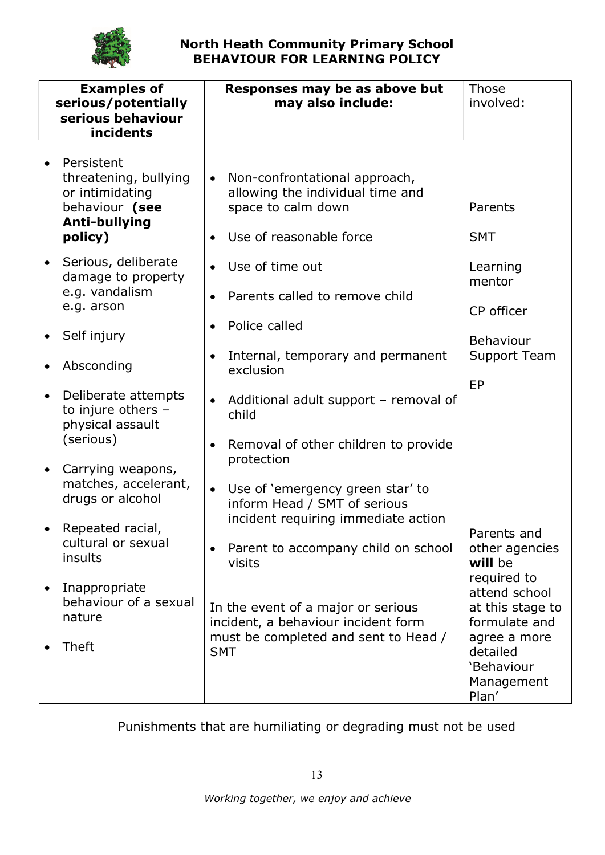

|           | <b>Examples of</b><br>serious/potentially<br>serious behaviour<br>incidents                          |                        | Responses may be as above but<br>may also include:                                                                                                            | Those<br>involved:                                                |
|-----------|------------------------------------------------------------------------------------------------------|------------------------|---------------------------------------------------------------------------------------------------------------------------------------------------------------|-------------------------------------------------------------------|
|           | Persistent<br>threatening, bullying<br>or intimidating<br>behaviour (see<br>Anti-bullying<br>policy) | $\bullet$              | Non-confrontational approach,<br>allowing the individual time and<br>space to calm down<br>Use of reasonable force                                            | Parents<br><b>SMT</b>                                             |
| $\bullet$ | Serious, deliberate<br>damage to property<br>e.g. vandalism<br>e.g. arson                            | $\bullet$              | Use of time out<br>Parents called to remove child                                                                                                             | Learning<br>mentor<br>CP officer                                  |
| $\bullet$ | Self injury<br>Absconding                                                                            | $\bullet$<br>$\bullet$ | Police called<br>Internal, temporary and permanent<br>exclusion                                                                                               | Behaviour<br>Support Team                                         |
|           | Deliberate attempts<br>to injure others -<br>physical assault                                        |                        | Additional adult support - removal of<br>child                                                                                                                | EP                                                                |
| $\bullet$ | (serious)<br>Carrying weapons,<br>matches, accelerant,<br>drugs or alcohol                           | ٠<br>$\bullet$         | Removal of other children to provide<br>protection<br>Use of 'emergency green star' to<br>inform Head / SMT of serious<br>incident requiring immediate action |                                                                   |
|           | Repeated racial,<br>cultural or sexual<br>insults                                                    |                        | Parent to accompany child on school<br>visits                                                                                                                 | Parents and<br>other agencies<br>will be                          |
|           | Inappropriate<br>behaviour of a sexual<br>nature                                                     |                        | In the event of a major or serious<br>incident, a behaviour incident form                                                                                     | required to<br>attend school<br>at this stage to<br>formulate and |
|           | <b>Theft</b>                                                                                         | <b>SMT</b>             | must be completed and sent to Head /                                                                                                                          | agree a more<br>detailed<br>'Behaviour<br>Management<br>Plan'     |

Punishments that are humiliating or degrading must not be used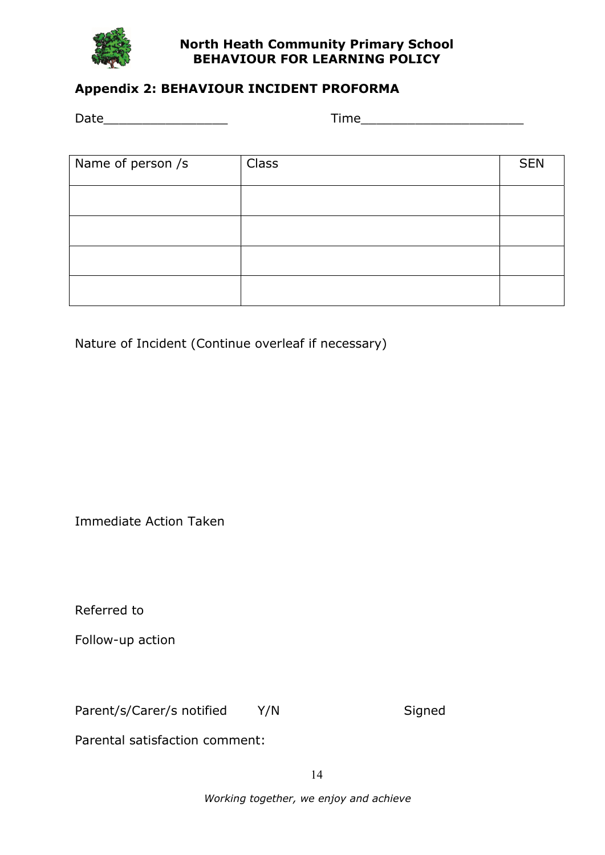

# Appendix 2: BEHAVIOUR INCIDENT PROFORMA

Date **Date Date Contract Contract Contract Contract Contract Contract Contract Contract Contract Contract Contract Contract Contract Contract Contract Contract Contract Contract Contract Contract Contract Contract Cont** 

| Name of person /s | Class | <b>SEN</b> |
|-------------------|-------|------------|
|                   |       |            |
|                   |       |            |
|                   |       |            |
|                   |       |            |
|                   |       |            |

Nature of Incident (Continue overleaf if necessary)

Immediate Action Taken

Referred to

Follow-up action

Parent/s/Carer/s notified Y/N Signed

Parental satisfaction comment:

Working together, we enjoy and achieve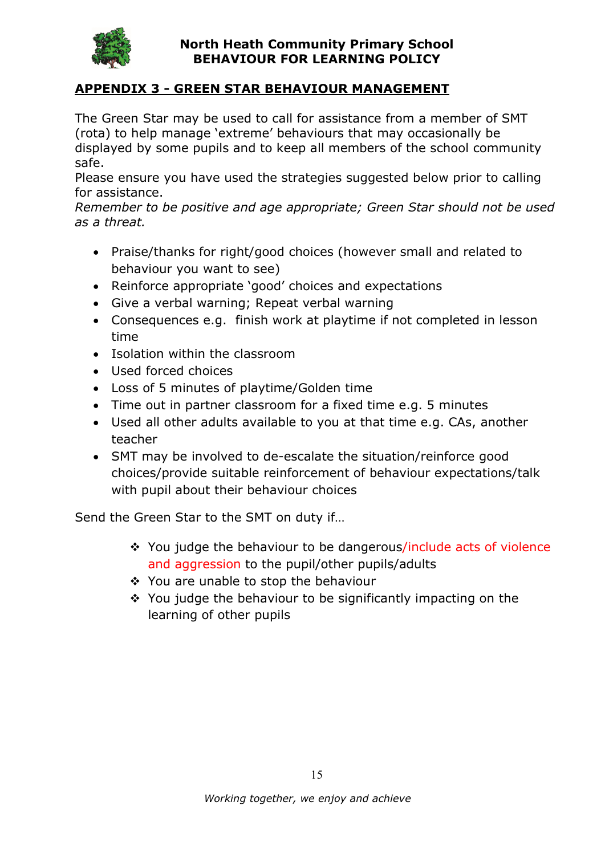

## APPENDIX 3 - GREEN STAR BEHAVIOUR MANAGEMENT

The Green Star may be used to call for assistance from a member of SMT (rota) to help manage 'extreme' behaviours that may occasionally be displayed by some pupils and to keep all members of the school community safe.

Please ensure you have used the strategies suggested below prior to calling for assistance.

Remember to be positive and age appropriate; Green Star should not be used as a threat.

- Praise/thanks for right/good choices (however small and related to behaviour you want to see)
- Reinforce appropriate 'good' choices and expectations
- Give a verbal warning; Repeat verbal warning
- Consequences e.g. finish work at playtime if not completed in lesson time
- Isolation within the classroom
- Used forced choices
- Loss of 5 minutes of playtime/Golden time
- Time out in partner classroom for a fixed time e.g. 5 minutes
- Used all other adults available to you at that time e.g. CAs, another teacher
- SMT may be involved to de-escalate the situation/reinforce good choices/provide suitable reinforcement of behaviour expectations/talk with pupil about their behaviour choices

Send the Green Star to the SMT on duty if…

- \* You judge the behaviour to be dangerous/include acts of violence and aggression to the pupil/other pupils/adults
- ❖ You are unable to stop the behaviour
- $\div$  You judge the behaviour to be significantly impacting on the learning of other pupils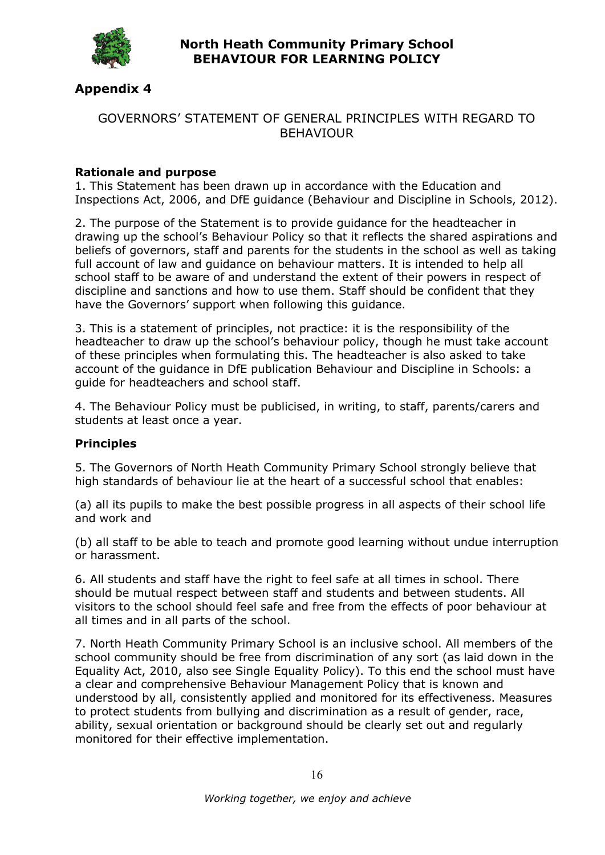

#### Appendix 4

#### GOVERNORS' STATEMENT OF GENERAL PRINCIPLES WITH REGARD TO BEHAVIOUR

#### Rationale and purpose

1. This Statement has been drawn up in accordance with the Education and Inspections Act, 2006, and DfE guidance (Behaviour and Discipline in Schools, 2012).

2. The purpose of the Statement is to provide guidance for the headteacher in drawing up the school's Behaviour Policy so that it reflects the shared aspirations and beliefs of governors, staff and parents for the students in the school as well as taking full account of law and guidance on behaviour matters. It is intended to help all school staff to be aware of and understand the extent of their powers in respect of discipline and sanctions and how to use them. Staff should be confident that they have the Governors' support when following this guidance.

3. This is a statement of principles, not practice: it is the responsibility of the headteacher to draw up the school's behaviour policy, though he must take account of these principles when formulating this. The headteacher is also asked to take account of the guidance in DfE publication Behaviour and Discipline in Schools: a guide for headteachers and school staff.

4. The Behaviour Policy must be publicised, in writing, to staff, parents/carers and students at least once a year.

#### Principles

5. The Governors of North Heath Community Primary School strongly believe that high standards of behaviour lie at the heart of a successful school that enables:

(a) all its pupils to make the best possible progress in all aspects of their school life and work and

(b) all staff to be able to teach and promote good learning without undue interruption or harassment.

6. All students and staff have the right to feel safe at all times in school. There should be mutual respect between staff and students and between students. All visitors to the school should feel safe and free from the effects of poor behaviour at all times and in all parts of the school.

7. North Heath Community Primary School is an inclusive school. All members of the school community should be free from discrimination of any sort (as laid down in the Equality Act, 2010, also see Single Equality Policy). To this end the school must have a clear and comprehensive Behaviour Management Policy that is known and understood by all, consistently applied and monitored for its effectiveness. Measures to protect students from bullying and discrimination as a result of gender, race, ability, sexual orientation or background should be clearly set out and regularly monitored for their effective implementation.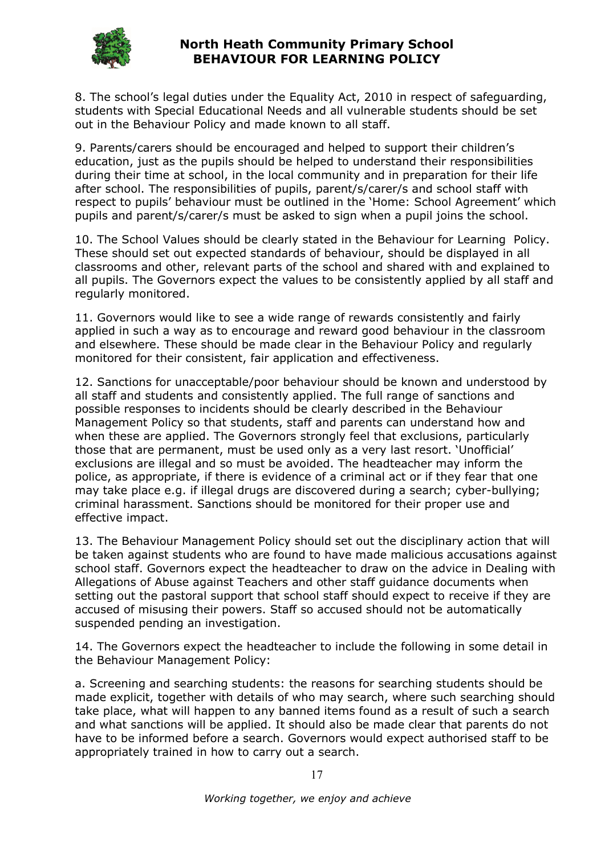

8. The school's legal duties under the Equality Act, 2010 in respect of safeguarding, students with Special Educational Needs and all vulnerable students should be set out in the Behaviour Policy and made known to all staff.

9. Parents/carers should be encouraged and helped to support their children's education, just as the pupils should be helped to understand their responsibilities during their time at school, in the local community and in preparation for their life after school. The responsibilities of pupils, parent/s/carer/s and school staff with respect to pupils' behaviour must be outlined in the 'Home: School Agreement' which pupils and parent/s/carer/s must be asked to sign when a pupil joins the school.

10. The School Values should be clearly stated in the Behaviour for Learning Policy. These should set out expected standards of behaviour, should be displayed in all classrooms and other, relevant parts of the school and shared with and explained to all pupils. The Governors expect the values to be consistently applied by all staff and regularly monitored.

11. Governors would like to see a wide range of rewards consistently and fairly applied in such a way as to encourage and reward good behaviour in the classroom and elsewhere. These should be made clear in the Behaviour Policy and regularly monitored for their consistent, fair application and effectiveness.

12. Sanctions for unacceptable/poor behaviour should be known and understood by all staff and students and consistently applied. The full range of sanctions and possible responses to incidents should be clearly described in the Behaviour Management Policy so that students, staff and parents can understand how and when these are applied. The Governors strongly feel that exclusions, particularly those that are permanent, must be used only as a very last resort. 'Unofficial' exclusions are illegal and so must be avoided. The headteacher may inform the police, as appropriate, if there is evidence of a criminal act or if they fear that one may take place e.g. if illegal drugs are discovered during a search; cyber-bullying; criminal harassment. Sanctions should be monitored for their proper use and effective impact.

13. The Behaviour Management Policy should set out the disciplinary action that will be taken against students who are found to have made malicious accusations against school staff. Governors expect the headteacher to draw on the advice in Dealing with Allegations of Abuse against Teachers and other staff guidance documents when setting out the pastoral support that school staff should expect to receive if they are accused of misusing their powers. Staff so accused should not be automatically suspended pending an investigation.

14. The Governors expect the headteacher to include the following in some detail in the Behaviour Management Policy:

a. Screening and searching students: the reasons for searching students should be made explicit, together with details of who may search, where such searching should take place, what will happen to any banned items found as a result of such a search and what sanctions will be applied. It should also be made clear that parents do not have to be informed before a search. Governors would expect authorised staff to be appropriately trained in how to carry out a search.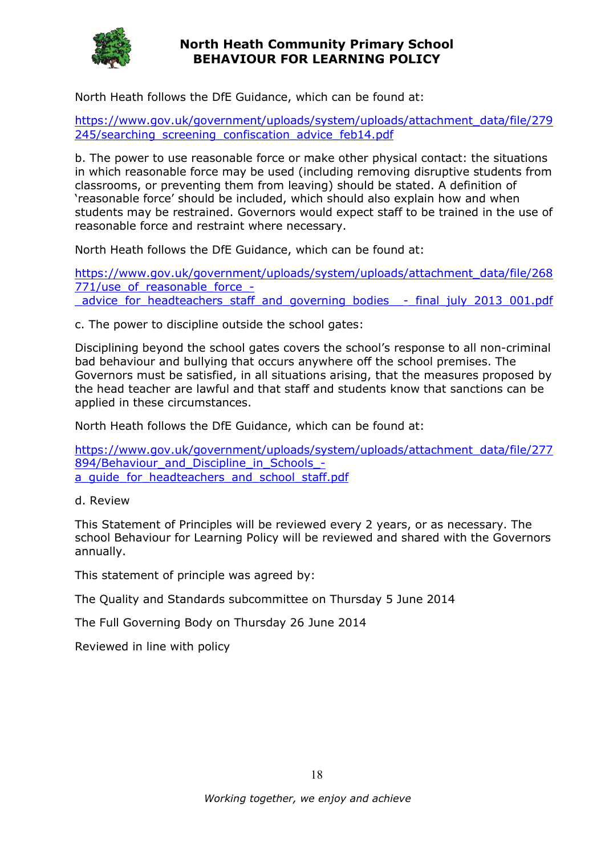

North Heath follows the DfE Guidance, which can be found at:

https://www.gov.uk/government/uploads/system/uploads/attachment\_data/file/279 245/searching screening confiscation advice feb14.pdf

b. The power to use reasonable force or make other physical contact: the situations in which reasonable force may be used (including removing disruptive students from classrooms, or preventing them from leaving) should be stated. A definition of 'reasonable force' should be included, which should also explain how and when students may be restrained. Governors would expect staff to be trained in the use of reasonable force and restraint where necessary.

North Heath follows the DfE Guidance, which can be found at:

https://www.gov.uk/government/uploads/system/uploads/attachment\_data/file/268 771/use\_of\_reasonable\_force\_advice for headteachers staff and governing bodies - final july 2013 001.pdf

c. The power to discipline outside the school gates:

Disciplining beyond the school gates covers the school's response to all non-criminal bad behaviour and bullying that occurs anywhere off the school premises. The Governors must be satisfied, in all situations arising, that the measures proposed by the head teacher are lawful and that staff and students know that sanctions can be applied in these circumstances.

North Heath follows the DfE Guidance, which can be found at:

https://www.gov.uk/government/uploads/system/uploads/attachment\_data/file/277 894/Behaviour and Discipline in Schools a quide for headteachers and school staff.pdf

d. Review

This Statement of Principles will be reviewed every 2 years, or as necessary. The school Behaviour for Learning Policy will be reviewed and shared with the Governors annually.

This statement of principle was agreed by:

The Quality and Standards subcommittee on Thursday 5 June 2014

The Full Governing Body on Thursday 26 June 2014

Reviewed in line with policy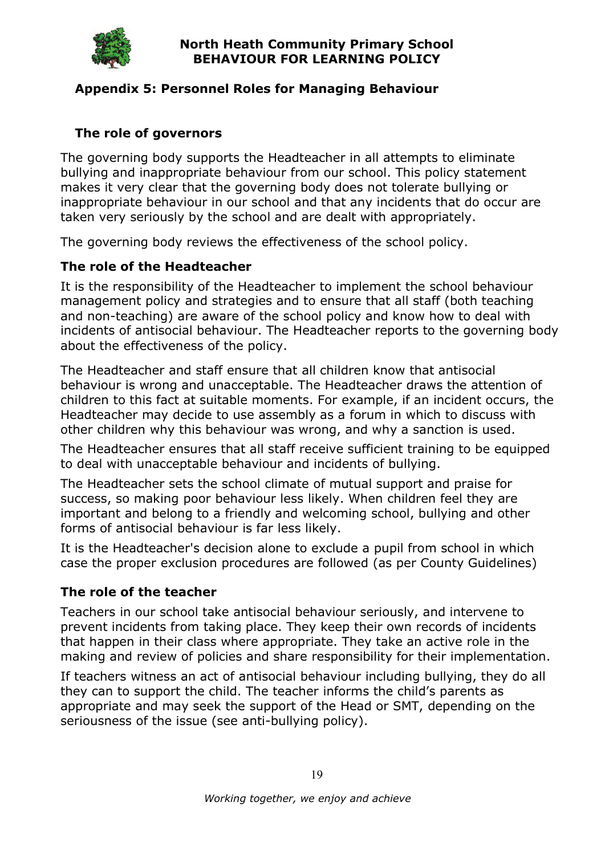

## Appendix 5: Personnel Roles for Managing Behaviour

# The role of governors

The governing body supports the Headteacher in all attempts to eliminate bullying and inappropriate behaviour from our school. This policy statement makes it very clear that the governing body does not tolerate bullying or inappropriate behaviour in our school and that any incidents that do occur are taken very seriously by the school and are dealt with appropriately.

The governing body reviews the effectiveness of the school policy.

## The role of the Headteacher

It is the responsibility of the Headteacher to implement the school behaviour management policy and strategies and to ensure that all staff (both teaching and non-teaching) are aware of the school policy and know how to deal with incidents of antisocial behaviour. The Headteacher reports to the governing body about the effectiveness of the policy.

The Headteacher and staff ensure that all children know that antisocial behaviour is wrong and unacceptable. The Headteacher draws the attention of children to this fact at suitable moments. For example, if an incident occurs, the Headteacher may decide to use assembly as a forum in which to discuss with other children why this behaviour was wrong, and why a sanction is used.

The Headteacher ensures that all staff receive sufficient training to be equipped to deal with unacceptable behaviour and incidents of bullying.

The Headteacher sets the school climate of mutual support and praise for success, so making poor behaviour less likely. When children feel they are important and belong to a friendly and welcoming school, bullying and other forms of antisocial behaviour is far less likely.

It is the Headteacher's decision alone to exclude a pupil from school in which case the proper exclusion procedures are followed (as per County Guidelines)

## The role of the teacher

Teachers in our school take antisocial behaviour seriously, and intervene to prevent incidents from taking place. They keep their own records of incidents that happen in their class where appropriate. They take an active role in the making and review of policies and share responsibility for their implementation.

If teachers witness an act of antisocial behaviour including bullying, they do all they can to support the child. The teacher informs the child's parents as appropriate and may seek the support of the Head or SMT, depending on the seriousness of the issue (see anti-bullying policy).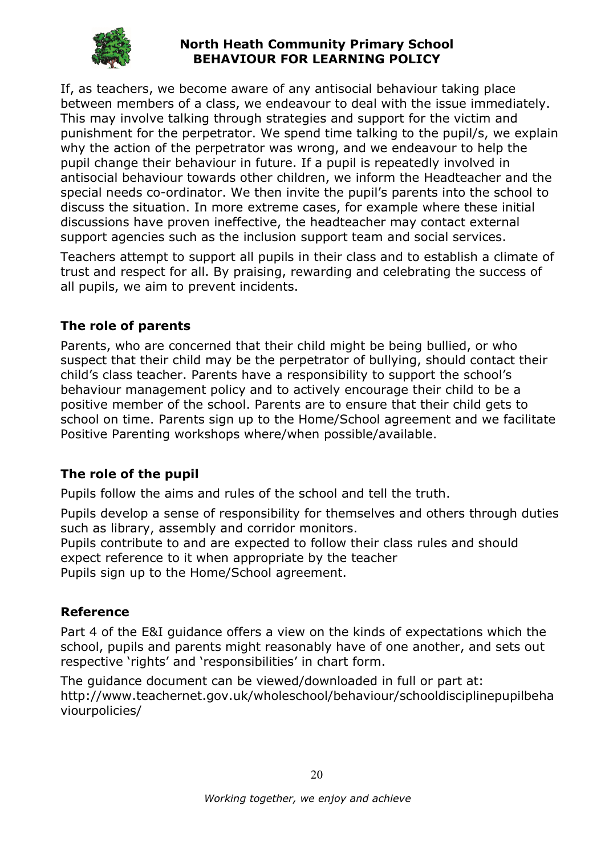

If, as teachers, we become aware of any antisocial behaviour taking place between members of a class, we endeavour to deal with the issue immediately. This may involve talking through strategies and support for the victim and punishment for the perpetrator. We spend time talking to the pupil/s, we explain why the action of the perpetrator was wrong, and we endeavour to help the pupil change their behaviour in future. If a pupil is repeatedly involved in antisocial behaviour towards other children, we inform the Headteacher and the special needs co-ordinator. We then invite the pupil's parents into the school to discuss the situation. In more extreme cases, for example where these initial discussions have proven ineffective, the headteacher may contact external support agencies such as the inclusion support team and social services.

Teachers attempt to support all pupils in their class and to establish a climate of trust and respect for all. By praising, rewarding and celebrating the success of all pupils, we aim to prevent incidents.

## The role of parents

Parents, who are concerned that their child might be being bullied, or who suspect that their child may be the perpetrator of bullying, should contact their child's class teacher. Parents have a responsibility to support the school's behaviour management policy and to actively encourage their child to be a positive member of the school. Parents are to ensure that their child gets to school on time. Parents sign up to the Home/School agreement and we facilitate Positive Parenting workshops where/when possible/available.

# The role of the pupil

Pupils follow the aims and rules of the school and tell the truth.

Pupils develop a sense of responsibility for themselves and others through duties such as library, assembly and corridor monitors.

Pupils contribute to and are expected to follow their class rules and should expect reference to it when appropriate by the teacher Pupils sign up to the Home/School agreement.

## Reference

Part 4 of the E&I guidance offers a view on the kinds of expectations which the school, pupils and parents might reasonably have of one another, and sets out respective 'rights' and 'responsibilities' in chart form.

The guidance document can be viewed/downloaded in full or part at: http://www.teachernet.gov.uk/wholeschool/behaviour/schooldisciplinepupilbeha viourpolicies/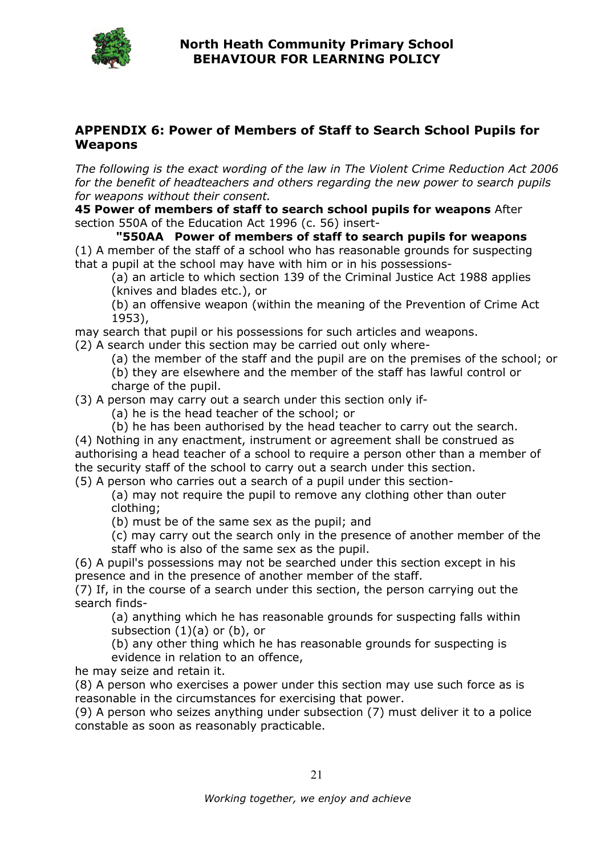

#### APPENDIX 6: Power of Members of Staff to Search School Pupils for Weapons

The following is the exact wording of the law in The Violent Crime Reduction Act 2006 for the benefit of headteachers and others regarding the new power to search pupils for weapons without their consent.

45 Power of members of staff to search school pupils for weapons After section 550A of the Education Act 1996 (c. 56) insert-

"550AA Power of members of staff to search pupils for weapons (1) A member of the staff of a school who has reasonable grounds for suspecting that a pupil at the school may have with him or in his possessions-

(a) an article to which section 139 of the Criminal Justice Act 1988 applies (knives and blades etc.), or

(b) an offensive weapon (within the meaning of the Prevention of Crime Act 1953),

may search that pupil or his possessions for such articles and weapons.

(2) A search under this section may be carried out only where-

(a) the member of the staff and the pupil are on the premises of the school; or (b) they are elsewhere and the member of the staff has lawful control or charge of the pupil.

(3) A person may carry out a search under this section only if-

(a) he is the head teacher of the school; or

(b) he has been authorised by the head teacher to carry out the search. (4) Nothing in any enactment, instrument or agreement shall be construed as authorising a head teacher of a school to require a person other than a member of the security staff of the school to carry out a search under this section.

(5) A person who carries out a search of a pupil under this section-

(a) may not require the pupil to remove any clothing other than outer clothing;

(b) must be of the same sex as the pupil; and

(c) may carry out the search only in the presence of another member of the staff who is also of the same sex as the pupil.

(6) A pupil's possessions may not be searched under this section except in his presence and in the presence of another member of the staff.

(7) If, in the course of a search under this section, the person carrying out the search finds-

(a) anything which he has reasonable grounds for suspecting falls within subsection  $(1)(a)$  or  $(b)$ , or

(b) any other thing which he has reasonable grounds for suspecting is evidence in relation to an offence,

he may seize and retain it.

(8) A person who exercises a power under this section may use such force as is reasonable in the circumstances for exercising that power.

(9) A person who seizes anything under subsection (7) must deliver it to a police constable as soon as reasonably practicable.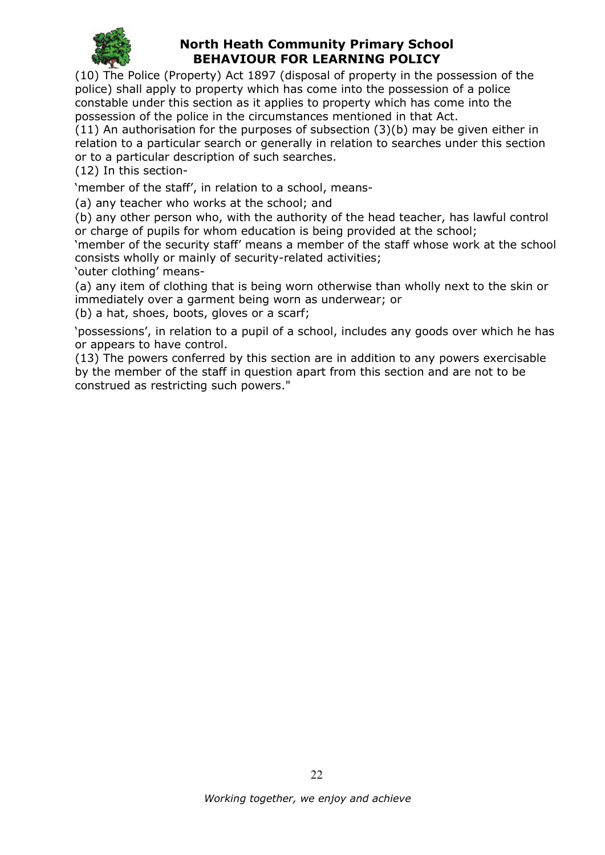

(10) The Police (Property) Act 1897 (disposal of property in the possession of the police) shall apply to property which has come into the possession of a police constable under this section as it applies to property which has come into the possession of the police in the circumstances mentioned in that Act.

(11) An authorisation for the purposes of subsection (3)(b) may be given either in relation to a particular search or generally in relation to searches under this section or to a particular description of such searches.

(12) In this section-

'member of the staff', in relation to a school, means-

(a) any teacher who works at the school; and

(b) any other person who, with the authority of the head teacher, has lawful control or charge of pupils for whom education is being provided at the school;

'member of the security staff' means a member of the staff whose work at the school consists wholly or mainly of security-related activities;

'outer clothing' means-

(a) any item of clothing that is being worn otherwise than wholly next to the skin or immediately over a garment being worn as underwear; or

(b) a hat, shoes, boots, gloves or a scarf;

'possessions', in relation to a pupil of a school, includes any goods over which he has or appears to have control.

(13) The powers conferred by this section are in addition to any powers exercisable by the member of the staff in question apart from this section and are not to be construed as restricting such powers."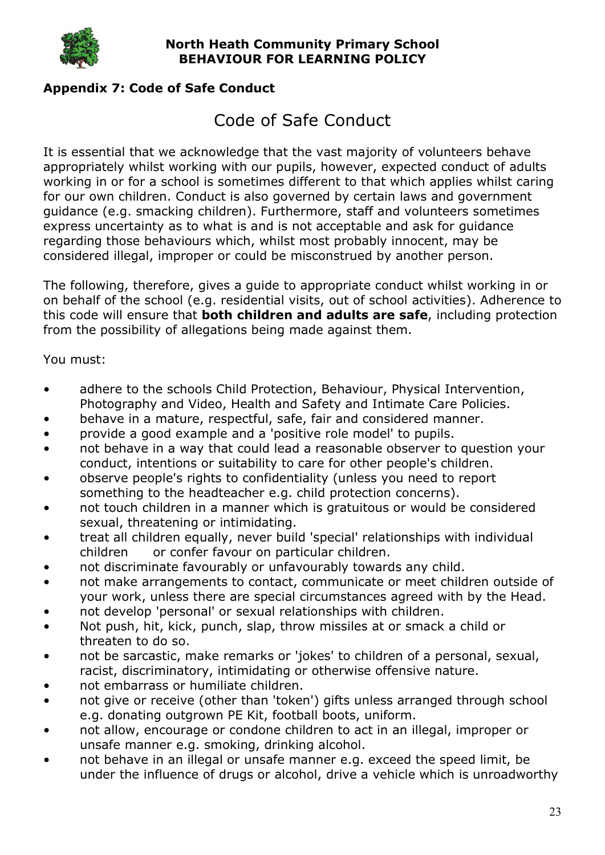

## Appendix 7: Code of Safe Conduct

# Code of Safe Conduct

It is essential that we acknowledge that the vast majority of volunteers behave appropriately whilst working with our pupils, however, expected conduct of adults working in or for a school is sometimes different to that which applies whilst caring for our own children. Conduct is also governed by certain laws and government guidance (e.g. smacking children). Furthermore, staff and volunteers sometimes express uncertainty as to what is and is not acceptable and ask for guidance regarding those behaviours which, whilst most probably innocent, may be considered illegal, improper or could be misconstrued by another person.

The following, therefore, gives a guide to appropriate conduct whilst working in or on behalf of the school (e.g. residential visits, out of school activities). Adherence to this code will ensure that **both children and adults are safe**, including protection from the possibility of allegations being made against them.

You must:

- adhere to the schools Child Protection, Behaviour, Physical Intervention, Photography and Video, Health and Safety and Intimate Care Policies.
- behave in a mature, respectful, safe, fair and considered manner.
- provide a good example and a 'positive role model' to pupils.
- not behave in a way that could lead a reasonable observer to question your conduct, intentions or suitability to care for other people's children.
- observe people's rights to confidentiality (unless you need to report something to the headteacher e.g. child protection concerns).
- not touch children in a manner which is gratuitous or would be considered sexual, threatening or intimidating.
- treat all children equally, never build 'special' relationships with individual children or confer favour on particular children.
- not discriminate favourably or unfavourably towards any child.
- not make arrangements to contact, communicate or meet children outside of your work, unless there are special circumstances agreed with by the Head.
- not develop 'personal' or sexual relationships with children.
- Not push, hit, kick, punch, slap, throw missiles at or smack a child or threaten to do so.
- not be sarcastic, make remarks or 'jokes' to children of a personal, sexual, racist, discriminatory, intimidating or otherwise offensive nature.
- not embarrass or humiliate children.
- not give or receive (other than 'token') gifts unless arranged through school e.g. donating outgrown PE Kit, football boots, uniform.
- not allow, encourage or condone children to act in an illegal, improper or unsafe manner e.g. smoking, drinking alcohol.
- not behave in an illegal or unsafe manner e.g. exceed the speed limit, be under the influence of drugs or alcohol, drive a vehicle which is unroadworthy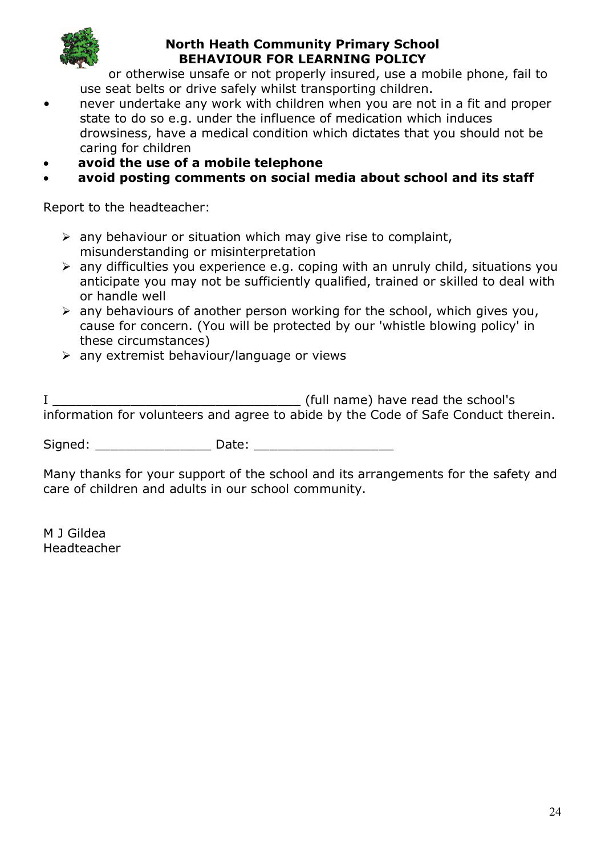

or otherwise unsafe or not properly insured, use a mobile phone, fail to use seat belts or drive safely whilst transporting children.

- never undertake any work with children when you are not in a fit and proper state to do so e.g. under the influence of medication which induces drowsiness, have a medical condition which dictates that you should not be caring for children
- avoid the use of a mobile telephone

## avoid posting comments on social media about school and its staff

Report to the headteacher:

- $\triangleright$  any behaviour or situation which may give rise to complaint, misunderstanding or misinterpretation
- $\geq$  any difficulties you experience e.g. coping with an unruly child, situations you anticipate you may not be sufficiently qualified, trained or skilled to deal with or handle well
- $\triangleright$  any behaviours of another person working for the school, which gives you, cause for concern. (You will be protected by our 'whistle blowing policy' in these circumstances)
- $\triangleright$  any extremist behaviour/language or views

| (full name) have read the school's                                                 |
|------------------------------------------------------------------------------------|
| information for volunteers and agree to abide by the Code of Safe Conduct therein. |

Signed: etc. Date:  $\Box$ 

Many thanks for your support of the school and its arrangements for the safety and care of children and adults in our school community.

M J Gildea Headteacher